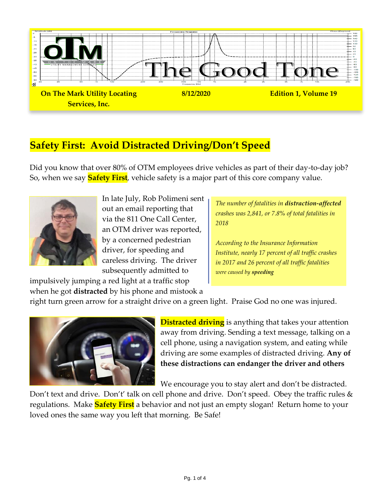

# **Safety First: Avoid Distracted Driving/Don't Speed**

Did you know that over 80% of OTM employees drive vehicles as part of their day-to-day job? So, when we say **Safety First**, vehicle safety is a major part of this core company value.



In late July, Rob Polimeni sent out an email reporting that via the 811 One Call Center, an OTM driver was reported, by a concerned pedestrian driver, for speeding and careless driving. The driver subsequently admitted to

*The number of fatalities in distraction-affected crashes was 2,841, or 7.8% of total fatalities in 2018*

*According to the Insurance Information Institute, nearly 17 percent of all traffic crashes in 2017 and 26 percent of all traffic fatalities were caused by speeding*

impulsively jumping a red light at a traffic stop when he got **distracted** by his phone and mistook a

right turn green arrow for a straight drive on a green light. Praise God no one was injured.



**Distracted driving** is anything that takes your attention away from driving. Sending a text message, talking on a cell phone, using a navigation system, and eating while driving are some examples of distracted driving. **Any of these distractions can endanger the driver and others**

We encourage you to stay alert and don't be distracted.

Don't text and drive. Don't' talk on cell phone and drive. Don't speed. Obey the traffic rules & regulations. Make **Safety First** a behavior and not just an empty slogan! Return home to your loved ones the same way you left that morning. Be Safe!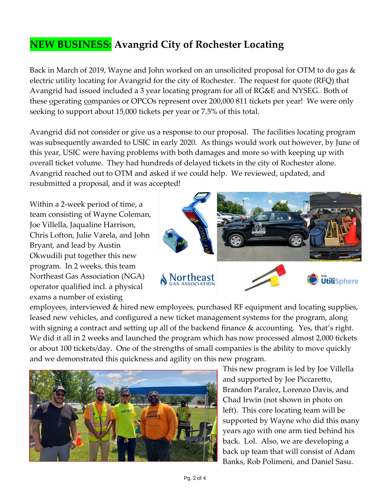# **NEW BUSINESS: Avangrid City of Rochester Locating**

Back in March of 2019, Wayne and John worked on an unsolicited proposal for OTM to do gas & electric utility locating for Avangrid for the city of Rochester. The request for quote (RFQ) that Avangrid had issued included a 3 year locating program for all of RG&E and NYSEG. Both of these <u>op</u>erating companies or OPCOs represent over 200,000 811 tickets per year! We were only seeking to support about 15,000 tickets per year or 7.5% of this total.

Avangrid did not consider or give us a response to our proposal. The facilities locating program was subsequently awarded to USIC in early 2020. As things would work out however, by June of this year, USIC were having problems with both damages and more so with keeping up with overall ticket volume. They had hundreds of delayed tickets in the city of Rochester alone. Avangrid reached out to OTM and asked if we could help. We reviewed, updated, and resubmitted a proposal, and it was accepted!

Within a 2-week period of time, a team consisting of Wayne Coleman, Joe Villella, Jaqualine Harrison, Chris Lofton, Julie Varela, and John Bryant, and lead by Austin Okwudili put together this new program. In 2 weeks, this team Northeast Gas Association (NGA) operator qualified incl. a physical exams a number of existing



employees, interviewed & hired new employees, purchased RF equipment and locating supplies, leased new vehicles, and configured a new ticket management systems for the program, along with signing a contract and setting up all of the backend finance & accounting. Yes, that's right. We did it all in 2 weeks and launched the program which has now processed almost 2,000 tickets or about 100 tickets/day. One of the strengths of small companies is the ability to move quickly and we demonstrated this quickness and agility on this new program.



This new program is led by Joe Villella and supported by Joe Piccaretto, Brandon Paralez, Lorenzo Davis, and Chad Irwin (not shown in photo on left). This core locating team will be supported by Wayne who did this many years ago with one arm tied behind his back. Lol. Also, we are developing a back up team that will consist of Adam Banks, Rob Polimeni, and Daniel Sasu.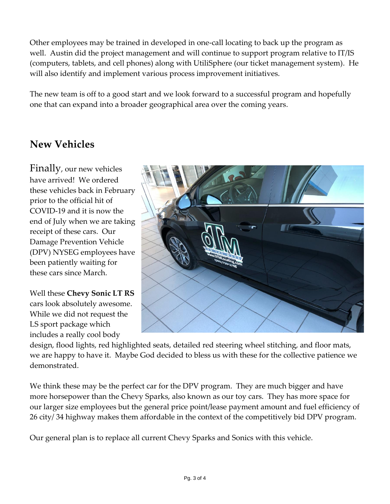Other employees may be trained in developed in one-call locating to back up the program as well. Austin did the project management and will continue to support program relative to IT/IS (computers, tablets, and cell phones) along with UtiliSphere (our ticket management system). He will also identify and implement various process improvement initiatives.

The new team is off to a good start and we look forward to a successful program and hopefully one that can expand into a broader geographical area over the coming years.

### **New Vehicles**

Finally, our new vehicles have arrived! We ordered these vehicles back in February prior to the official hit of COVID-19 and it is now the end of July when we are taking receipt of these cars. Our Damage Prevention Vehicle (DPV) NYSEG employees have been patiently waiting for these cars since March.

Well these **Chevy Sonic LT RS** cars look absolutely awesome. While we did not request the LS sport package which includes a really cool body



design, flood lights, red highlighted seats, detailed red steering wheel stitching, and floor mats, we are happy to have it. Maybe God decided to bless us with these for the collective patience we demonstrated.

We think these may be the perfect car for the DPV program. They are much bigger and have more horsepower than the Chevy Sparks, also known as our toy cars. They has more space for our larger size employees but the general price point/lease payment amount and fuel efficiency of 26 city/ 34 highway makes them affordable in the context of the competitively bid DPV program.

Our general plan is to replace all current Chevy Sparks and Sonics with this vehicle.